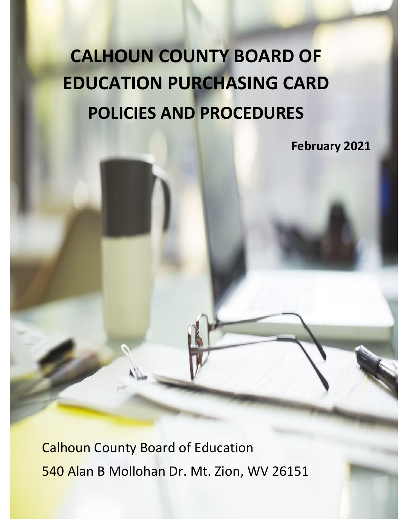# **CALHOUN COUNTY BOARD OF EDUCATION PURCHASING CARD POLICIES AND PROCEDURES**

**February 2021**

Calhoun County Board of Education 540 Alan B Mollohan Dr. Mt. Zion, WV 26151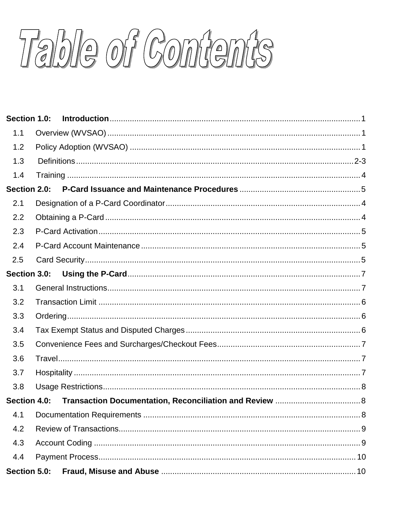Table of Contents

| Section 1.0: |  |
|--------------|--|
| 1.1          |  |
| 1.2          |  |
| 1.3          |  |
| 1.4          |  |
| Section 2.0: |  |
| 2.1          |  |
| 2.2          |  |
| 2.3          |  |
| 2.4          |  |
| 2.5          |  |
| Section 3.0: |  |
| 3.1          |  |
| 3.2          |  |
| 3.3          |  |
| 3.4          |  |
| 3.5          |  |
| 3.6          |  |
| 3.7          |  |
| 3.8          |  |
| Section 4.0: |  |
| 4.1          |  |
| 4.2          |  |
| 4.3          |  |
| 4.4          |  |
| Section 5.0: |  |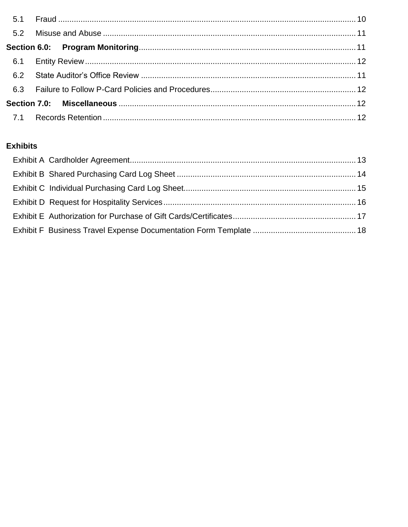## **Exhibits**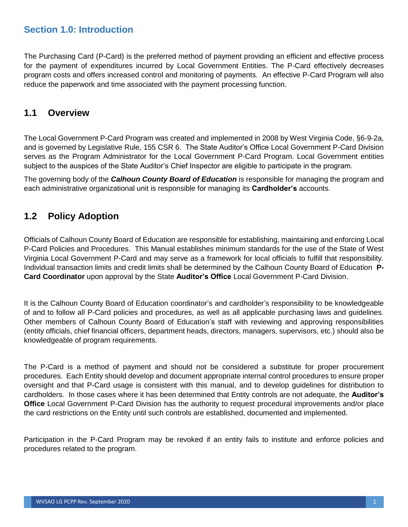## <span id="page-3-0"></span>**Section 1.0: Introduction**

The Purchasing Card (P-Card) is the preferred method of payment providing an efficient and effective process for the payment of expenditures incurred by Local Government Entities. The P-Card effectively decreases program costs and offers increased control and monitoring of payments. An effective P-Card Program will also reduce the paperwork and time associated with the payment processing function.

## <span id="page-3-1"></span>**1.1 Overview**

The Local Government P-Card Program was created and implemented in 2008 by West Virginia Code, §6-9-2a, and is governed by Legislative Rule, 155 CSR 6. The State Auditor's Office Local Government P-Card Division serves as the Program Administrator for the Local Government P-Card Program. Local Government entities subject to the auspices of the State Auditor's Chief Inspector are eligible to participate in the program.

The governing body of the *Calhoun County Board of Education* is responsible for managing the program and each administrative organizational unit is responsible for managing its **Cardholder's** accounts.

## <span id="page-3-2"></span>**1.2 Policy Adoption**

Officials of Calhoun County Board of Education are responsible for establishing, maintaining and enforcing Local P-Card Policies and Procedures. This Manual establishes minimum standards for the use of the State of West Virginia Local Government P-Card and may serve as a framework for local officials to fulfill that responsibility. Individual transaction limits and credit limits shall be determined by the Calhoun County Board of Education **P-Card Coordinator** upon approval by the State **Auditor's Office** Local Government P-Card Division.

It is the Calhoun County Board of Education coordinator's and cardholder's responsibility to be knowledgeable of and to follow all P-Card policies and procedures, as well as all applicable purchasing laws and guidelines. Other members of Calhoun County Board of Education's staff with reviewing and approving responsibilities (entity officials, chief financial officers, department heads, directors, managers, supervisors, etc.) should also be knowledgeable of program requirements.

The P-Card is a method of payment and should not be considered a substitute for proper procurement procedures. Each Entity should develop and document appropriate internal control procedures to ensure proper oversight and that P-Card usage is consistent with this manual, and to develop guidelines for distribution to cardholders. In those cases where it has been determined that Entity controls are not adequate, the **Auditor's Office** Local Government P-Card Division has the authority to request procedural improvements and/or place the card restrictions on the Entity until such controls are established, documented and implemented.

Participation in the P-Card Program may be revoked if an entity fails to institute and enforce policies and procedures related to the program.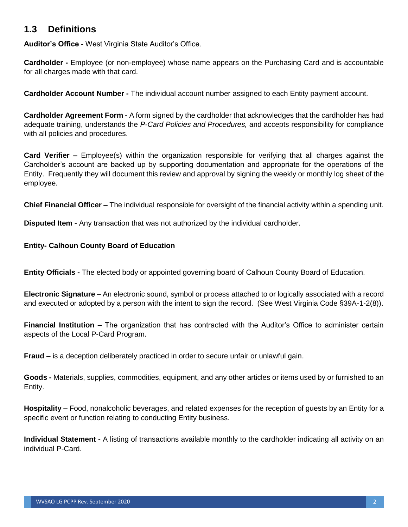## **1.3 Definitions**

**Auditor's Office -** West Virginia State Auditor's Office.

**Cardholder -** Employee (or non-employee) whose name appears on the Purchasing Card and is accountable for all charges made with that card.

**Cardholder Account Number -** The individual account number assigned to each Entity payment account.

**Cardholder Agreement Form -** A form signed by the cardholder that acknowledges that the cardholder has had adequate training, understands the *P-Card Policies and Procedures,* and accepts responsibility for compliance with all policies and procedures.

**Card Verifier –** Employee(s) within the organization responsible for verifying that all charges against the Cardholder's account are backed up by supporting documentation and appropriate for the operations of the Entity. Frequently they will document this review and approval by signing the weekly or monthly log sheet of the employee.

**Chief Financial Officer –** The individual responsible for oversight of the financial activity within a spending unit.

**Disputed Item -** Any transaction that was not authorized by the individual cardholder.

**Entity- Calhoun County Board of Education**

**Entity Officials -** The elected body or appointed governing board of Calhoun County Board of Education.

**Electronic Signature –** An electronic sound, symbol or process attached to or logically associated with a record and executed or adopted by a person with the intent to sign the record. (See West Virginia Code §39A-1-2(8)).

**Financial Institution –** The organization that has contracted with the Auditor's Office to administer certain aspects of the Local P-Card Program.

**Fraud –** is a deception deliberately practiced in order to secure unfair or unlawful gain.

**Goods -** Materials, supplies, commodities, equipment, and any other articles or items used by or furnished to an Entity.

**Hospitality –** Food, nonalcoholic beverages, and related expenses for the reception of guests by an Entity for a specific event or function relating to conducting Entity business.

**Individual Statement -** A listing of transactions available monthly to the cardholder indicating all activity on an individual P-Card.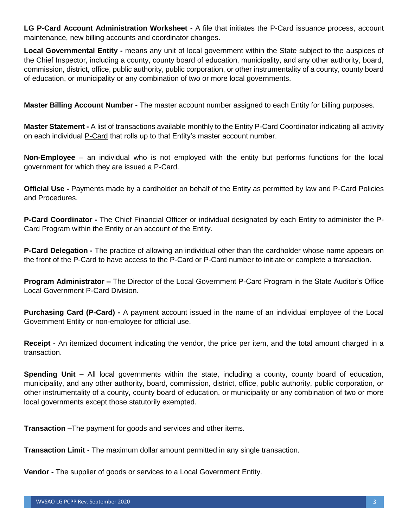**LG P-Card Account Administration Worksheet -** A file that initiates the P-Card issuance process, account maintenance, new billing accounts and coordinator changes.

**Local Governmental Entity -** means any unit of local government within the State subject to the auspices of the Chief Inspector, including a county, county board of education, municipality, and any other authority, board, commission, district, office, public authority, public corporation, or other instrumentality of a county, county board of education, or municipality or any combination of two or more local governments.

**Master Billing Account Number -** The master account number assigned to each Entity for billing purposes.

**Master Statement -** A list of transactions available monthly to the Entity P-Card Coordinator indicating all activity on each individual P-Card that rolls up to that Entity's master account number.

**Non-Employee** – an individual who is not employed with the entity but performs functions for the local government for which they are issued a P-Card.

**Official Use -** Payments made by a cardholder on behalf of the Entity as permitted by law and P-Card Policies and Procedures.

**P-Card Coordinator -** The Chief Financial Officer or individual designated by each Entity to administer the P-Card Program within the Entity or an account of the Entity.

**P-Card Delegation -** The practice of allowing an individual other than the cardholder whose name appears on the front of the P-Card to have access to the P-Card or P-Card number to initiate or complete a transaction.

**Program Administrator –** The Director of the Local Government P-Card Program in the State Auditor's Office Local Government P-Card Division.

**Purchasing Card (P-Card) -** A payment account issued in the name of an individual employee of the Local Government Entity or non-employee for official use.

**Receipt -** An itemized document indicating the vendor, the price per item, and the total amount charged in a transaction.

**Spending Unit –** All local governments within the state, including a county, county board of education, municipality, and any other authority, board, commission, district, office, public authority, public corporation, or other instrumentality of a county, county board of education, or municipality or any combination of two or more local governments except those statutorily exempted.

**Transaction –**The payment for goods and services and other items.

**Transaction Limit -** The maximum dollar amount permitted in any single transaction.

**Vendor -** The supplier of goods or services to a Local Government Entity.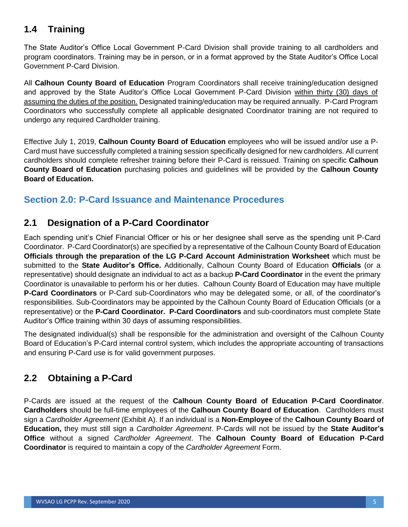# **1.4 Training**

The State Auditor's Office Local Government P-Card Division shall provide training to all cardholders and program coordinators. Training may be in person, or in a format approved by the State Auditor's Office Local Government P-Card Division.

All **Calhoun County Board of Education** Program Coordinators shall receive training/education designed and approved by the State Auditor's Office Local Government P-Card Division within thirty (30) days of assuming the duties of the position. Designated training/education may be required annually. P-Card Program Coordinators who successfully complete all applicable designated Coordinator training are not required to undergo any required Cardholder training.

Effective July 1, 2019, **Calhoun County Board of Education** employees who will be issued and/or use a P-Card must have successfully completed a training session specifically designed for new cardholders. All current cardholders should complete refresher training before their P-Card is reissued. Training on specific **Calhoun County Board of Education** purchasing policies and guidelines will be provided by the **Calhoun County Board of Education.**

## <span id="page-7-0"></span>**Section 2.0: P-Card Issuance and Maintenance Procedures**

# **2.1 Designation of a P-Card Coordinator**

Each spending unit's Chief Financial Officer or his or her designee shall serve as the spending unit P-Card Coordinator. P-Card Coordinator(s) are specified by a representative of the Calhoun County Board of Education **Officials through the preparation of the LG P-Card Account Administration Worksheet** which must be submitted to the **State Auditor's Office.** Additionally, Calhoun County Board of Education **Officials** (or a representative) should designate an individual to act as a backup **P-Card Coordinator** in the event the primary Coordinator is unavailable to perform his or her duties. Calhoun County Board of Education may have multiple **P-Card Coordinators** or P-Card sub-Coordinators who may be delegated some, or all, of the coordinator's responsibilities. Sub-Coordinators may be appointed by the Calhoun County Board of Education Officials (or a representative) or the **P-Card Coordinator. P-Card Coordinators** and sub-coordinators must complete State Auditor's Office training within 30 days of assuming responsibilities.

The designated individual(s) shall be responsible for the administration and oversight of the Calhoun County Board of Education's P-Card internal control system, which includes the appropriate accounting of transactions and ensuring P-Card use is for valid government purposes.

# **2.2 Obtaining a P-Card**

P-Cards are issued at the request of the **Calhoun County Board of Education P-Card Coordinator**. **Cardholders** should be full-time employees of the **Calhoun County Board of Education**. Cardholders must sign a *Cardholder Agreement* (Exhibit A). If an individual is a **Non-Employee** of the **Calhoun County Board of Education,** they must still sign a *Cardholder Agreement*. P-Cards will not be issued by the **State Auditor's Office** without a signed *Cardholder Agreement*. The **Calhoun County Board of Education P-Card Coordinator** is required to maintain a copy of the *Cardholder Agreement* Form.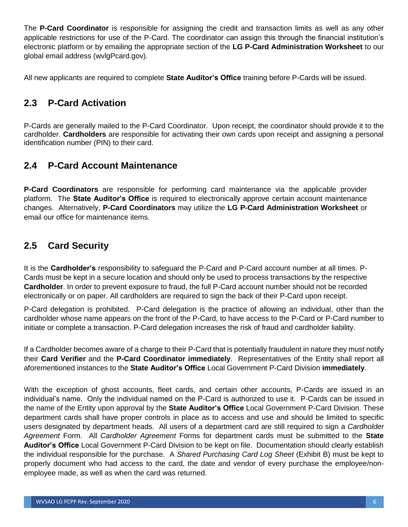The **P-Card Coordinator** is responsible for assigning the credit and transaction limits as well as any other applicable restrictions for use of the P-Card. The coordinator can assign this through the financial institution's electronic platform or by emailing the appropriate section of the **LG P-Card Administration Worksheet** to our global email address (wvlgPcard.gov).

All new applicants are required to complete **State Auditor's Office** training before P-Cards will be issued.

## **2.3 P-Card Activation**

P-Cards are generally mailed to the P-Card Coordinator. Upon receipt, the coordinator should provide it to the cardholder. **Cardholders** are responsible for activating their own cards upon receipt and assigning a personal identification number (PIN) to their card.

## **2.4 P-Card Account Maintenance**

**P-Card Coordinators** are responsible for performing card maintenance via the applicable provider platform. The **State Auditor's Office** is required to electronically approve certain account maintenance changes. Alternatively, **P-Card Coordinators** may utilize the **LG P-Card Administration Worksheet** or email our office for maintenance items.

## **2.5 Card Security**

It is the **Cardholder's** responsibility to safeguard the P-Card and P-Card account number at all times. P-Cards must be kept in a secure location and should only be used to process transactions by the respective **Cardholder**. In order to prevent exposure to fraud, the full P-Card account number should not be recorded electronically or on paper. All cardholders are required to sign the back of their P-Card upon receipt.

P-Card delegation is prohibited. P-Card delegation is the practice of allowing an individual, other than the cardholder whose name appears on the front of the P-Card, to have access to the P-Card or P-Card number to initiate or complete a transaction. P-Card delegation increases the risk of fraud and cardholder liability.

If a Cardholder becomes aware of a charge to their P-Card that is potentially fraudulent in nature they must notify their **Card Verifier** and the **P-Card Coordinator immediately**. Representatives of the Entity shall report all aforementioned instances to the **State Auditor's Office** Local Government P-Card Division **immediately**.

With the exception of ghost accounts, fleet cards, and certain other accounts, P-Cards are issued in an individual's name. Only the individual named on the P-Card is authorized to use it. P-Cards can be issued in the name of the Entity upon approval by the **State Auditor's Office** Local Government P-Card Division. These department cards shall have proper controls in place as to access and use and should be limited to specific users designated by department heads. All users of a department card are still required to sign a *Cardholder Agreement* Form. All *Cardholder Agreement* Forms for department cards must be submitted to the **State Auditor's Office** Local Government P-Card Division to be kept on file. Documentation should clearly establish the individual responsible for the purchase. A *Shared Purchasing Card Log Sheet* (Exhibit B) must be kept to properly document who had access to the card, the date and vendor of every purchase the employee/nonemployee made, as well as when the card was returned.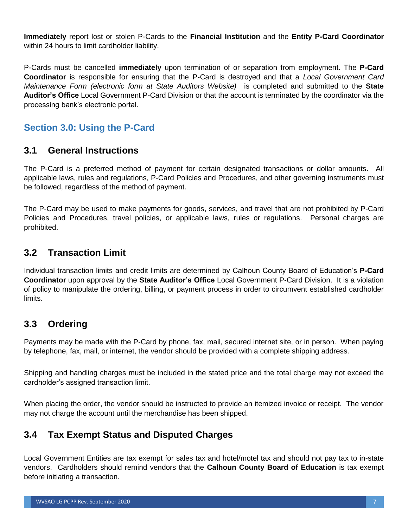**Immediately** report lost or stolen P-Cards to the **Financial Institution** and the **Entity P-Card Coordinator** within 24 hours to limit cardholder liability.

P-Cards must be cancelled **immediately** upon termination of or separation from employment. The **P-Card Coordinator** is responsible for ensuring that the P-Card is destroyed and that a *Local Government Card Maintenance Form (electronic form at State Auditors Website)* is completed and submitted to the **State Auditor's Office** Local Government P-Card Division or that the account is terminated by the coordinator via the processing bank's electronic portal.

# <span id="page-9-0"></span>**Section 3.0: Using the P-Card**

## <span id="page-9-1"></span>**3.1 General Instructions**

The P-Card is a preferred method of payment for certain designated transactions or dollar amounts. All applicable laws, rules and regulations, P-Card Policies and Procedures, and other governing instruments must be followed, regardless of the method of payment.

The P-Card may be used to make payments for goods, services, and travel that are not prohibited by P-Card Policies and Procedures, travel policies, or applicable laws, rules or regulations. Personal charges are prohibited.

## **3.2 Transaction Limit**

Individual transaction limits and credit limits are determined by Calhoun County Board of Education's **P-Card Coordinator** upon approval by the **State Auditor's Office** Local Government P-Card Division. It is a violation of policy to manipulate the ordering, billing, or payment process in order to circumvent established cardholder limits.

## **3.3 Ordering**

Payments may be made with the P-Card by phone, fax, mail, secured internet site, or in person. When paying by telephone, fax, mail, or internet, the vendor should be provided with a complete shipping address.

Shipping and handling charges must be included in the stated price and the total charge may not exceed the cardholder's assigned transaction limit.

When placing the order, the vendor should be instructed to provide an itemized invoice or receipt. The vendor may not charge the account until the merchandise has been shipped.

## **3.4 Tax Exempt Status and Disputed Charges**

Local Government Entities are tax exempt for sales tax and hotel/motel tax and should not pay tax to in-state vendors. Cardholders should remind vendors that the **Calhoun County Board of Education** is tax exempt before initiating a transaction.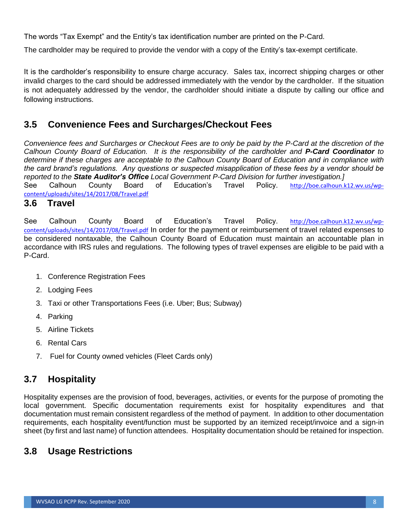The words "Tax Exempt" and the Entity's tax identification number are printed on the P-Card.

The cardholder may be required to provide the vendor with a copy of the Entity's tax-exempt certificate.

It is the cardholder's responsibility to ensure charge accuracy. Sales tax, incorrect shipping charges or other invalid charges to the card should be addressed immediately with the vendor by the cardholder. If the situation is not adequately addressed by the vendor, the cardholder should initiate a dispute by calling our office and following instructions.

## **3.5 Convenience Fees and Surcharges/Checkout Fees**

*Convenience fees and Surcharges or Checkout Fees are to only be paid by the P-Card at the discretion of the Calhoun County Board of Education. It is the responsibility of the cardholder and P-Card Coordinator to determine if these charges are acceptable to the Calhoun County Board of Education and in compliance with the card brand's regulations. Any questions or suspected misapplication of these fees by a vendor should be reported to the State Auditor's Office Local Government P-Card Division for further investigation.]* See Calhoun County Board of Education's Travel Policy. [http://boe.calhoun.k12.wv.us/wp-](http://boe.calhoun.k12.wv.us/wp-content/uploads/sites/14/2017/08/Travel.pdf)

[content/uploads/sites/14/2017/08/Travel.pdf](http://boe.calhoun.k12.wv.us/wp-content/uploads/sites/14/2017/08/Travel.pdf)

#### **3.6 Travel**

See Calhoun County Board of Education's Travel Policy. [http://boe.calhoun.k12.wv.us/wp](http://boe.calhoun.k12.wv.us/wp-content/uploads/sites/14/2017/08/Travel.pdf)[content/uploads/sites/14/2017/08/Travel.pdf](http://boe.calhoun.k12.wv.us/wp-content/uploads/sites/14/2017/08/Travel.pdf) In order for the payment or reimbursement of travel related expenses to be considered nontaxable, the Calhoun County Board of Education must maintain an accountable plan in accordance with IRS rules and regulations. The following types of travel expenses are eligible to be paid with a P-Card.

- 1. Conference Registration Fees
- 2. Lodging Fees
- 3. Taxi or other Transportations Fees (i.e. Uber; Bus; Subway)
- 4. Parking
- 5. Airline Tickets
- 6. Rental Cars
- 7. Fuel for County owned vehicles (Fleet Cards only)

## **3.7 Hospitality**

Hospitality expenses are the provision of food, beverages, activities, or events for the purpose of promoting the local government. Specific documentation requirements exist for hospitality expenditures and that documentation must remain consistent regardless of the method of payment. In addition to other documentation requirements, each hospitality event/function must be supported by an itemized receipt/invoice and a sign-in sheet (by first and last name) of function attendees. Hospitality documentation should be retained for inspection.

## **3.8 Usage Restrictions**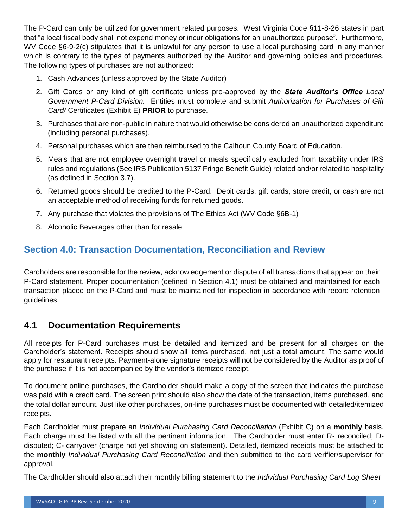The P-Card can only be utilized for government related purposes. West Virginia Code §11-8-26 states in part that "a local fiscal body shall not expend money or incur obligations for an unauthorized purpose". Furthermore, WV Code §6-9-2(c) stipulates that it is unlawful for any person to use a local purchasing card in any manner which is contrary to the types of payments authorized by the Auditor and governing policies and procedures. The following types of purchases are not authorized:

- 1. Cash Advances (unless approved by the State Auditor)
- 2. Gift Cards or any kind of gift certificate unless pre-approved by the *State Auditor's Office Local Government P-Card Division.* Entities must complete and submit *Authorization for Purchases of Gift Card/* Certificates (Exhibit E) **PRIOR** to purchase.
- 3. Purchases that are non-public in nature that would otherwise be considered an unauthorized expenditure (including personal purchases).
- 4. Personal purchases which are then reimbursed to the Calhoun County Board of Education.
- 5. Meals that are not employee overnight travel or meals specifically excluded from taxability under IRS rules and regulations (See IRS Publication 5137 Fringe Benefit Guide) related and/or related to hospitality (as defined in Section 3.7).
- 6. Returned goods should be credited to the P-Card. Debit cards, gift cards, store credit, or cash are not an acceptable method of receiving funds for returned goods.
- 7. Any purchase that violates the provisions of The Ethics Act (WV Code §6B-1)
- 8. Alcoholic Beverages other than for resale

# **Section 4.0: Transaction Documentation, Reconciliation and Review**

Cardholders are responsible for the review, acknowledgement or dispute of all transactions that appear on their P-Card statement. Proper documentation (defined in Section 4.1) must be obtained and maintained for each transaction placed on the P-Card and must be maintained for inspection in accordance with record retention guidelines.

## **4.1 Documentation Requirements**

All receipts for P-Card purchases must be detailed and itemized and be present for all charges on the Cardholder's statement. Receipts should show all items purchased, not just a total amount. The same would apply for restaurant receipts. Payment-alone signature receipts will not be considered by the Auditor as proof of the purchase if it is not accompanied by the vendor's itemized receipt.

To document online purchases, the Cardholder should make a copy of the screen that indicates the purchase was paid with a credit card. The screen print should also show the date of the transaction, items purchased, and the total dollar amount. Just like other purchases, on-line purchases must be documented with detailed/itemized receipts.

Each Cardholder must prepare an *Individual Purchasing Card Reconciliation* (Exhibit C) on a **monthly** basis. Each charge must be listed with all the pertinent information. The Cardholder must enter R- reconciled; Ddisputed; C- carryover (charge not yet showing on statement). Detailed, itemized receipts must be attached to the **monthly** *Individual Purchasing Card Reconciliation* and then submitted to the card verifier/supervisor for approval.

The Cardholder should also attach their monthly billing statement to the *Individual Purchasing Card Log Sheet*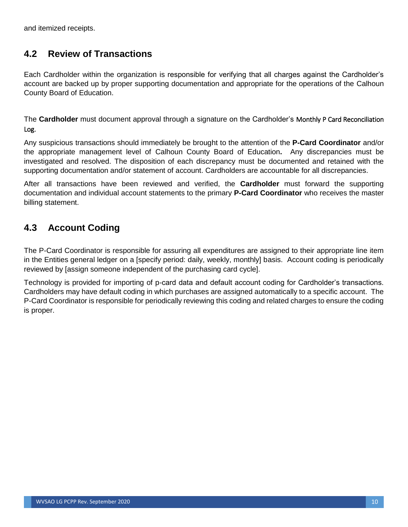and itemized receipts.

## **4.2 Review of Transactions**

Each Cardholder within the organization is responsible for verifying that all charges against the Cardholder's account are backed up by proper supporting documentation and appropriate for the operations of the Calhoun County Board of Education.

The **Cardholder** must document approval through a signature on the Cardholder's Monthly P Card Reconciliation Log.

Any suspicious transactions should immediately be brought to the attention of the **P-Card Coordinator** and/or the appropriate management level of Calhoun County Board of Education**.** Any discrepancies must be investigated and resolved. The disposition of each discrepancy must be documented and retained with the supporting documentation and/or statement of account. Cardholders are accountable for all discrepancies.

After all transactions have been reviewed and verified, the **Cardholder** must forward the supporting documentation and individual account statements to the primary **P-Card Coordinator** who receives the master billing statement.

# **4.3 Account Coding**

The P-Card Coordinator is responsible for assuring all expenditures are assigned to their appropriate line item in the Entities general ledger on a [specify period: daily, weekly, monthly] basis. Account coding is periodically reviewed by [assign someone independent of the purchasing card cycle].

Technology is provided for importing of p-card data and default account coding for Cardholder's transactions. Cardholders may have default coding in which purchases are assigned automatically to a specific account. The P-Card Coordinator is responsible for periodically reviewing this coding and related charges to ensure the coding is proper.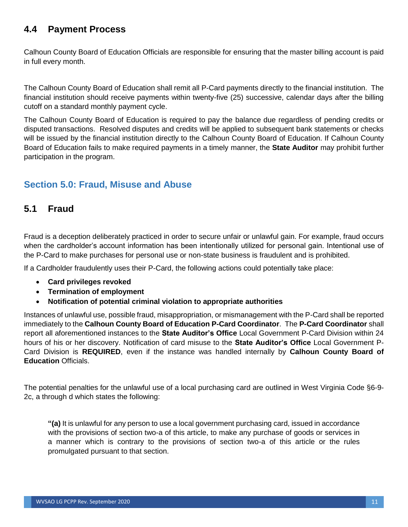## **4.4 Payment Process**

Calhoun County Board of Education Officials are responsible for ensuring that the master billing account is paid in full every month.

The Calhoun County Board of Education shall remit all P-Card payments directly to the financial institution. The financial institution should receive payments within twenty-five (25) successive, calendar days after the billing cutoff on a standard monthly payment cycle.

The Calhoun County Board of Education is required to pay the balance due regardless of pending credits or disputed transactions. Resolved disputes and credits will be applied to subsequent bank statements or checks will be issued by the financial institution directly to the Calhoun County Board of Education. If Calhoun County Board of Education fails to make required payments in a timely manner, the **State Auditor** may prohibit further participation in the program.

# **Section 5.0: Fraud, Misuse and Abuse**

## **5.1 Fraud**

Fraud is a deception deliberately practiced in order to secure unfair or unlawful gain. For example, fraud occurs when the cardholder's account information has been intentionally utilized for personal gain. Intentional use of the P-Card to make purchases for personal use or non-state business is fraudulent and is prohibited.

If a Cardholder fraudulently uses their P-Card, the following actions could potentially take place:

- **Card privileges revoked**
- **Termination of employment**
- **Notification of potential criminal violation to appropriate authorities**

Instances of unlawful use, possible fraud, misappropriation, or mismanagement with the P-Card shall be reported immediately to the **Calhoun County Board of Education P-Card Coordinator**. The **P-Card Coordinator** shall report all aforementioned instances to the **State Auditor's Office** Local Government P-Card Division within 24 hours of his or her discovery. Notification of card misuse to the **State Auditor's Office** Local Government P-Card Division is **REQUIRED**, even if the instance was handled internally by **Calhoun County Board of Education** Officials.

The potential penalties for the unlawful use of a local purchasing card are outlined in West Virginia Code §6-9- 2c, a through d which states the following:

**"(a)** It is unlawful for any person to use a local government purchasing card, issued in accordance with the provisions of section two-a of this article, to make any purchase of goods or services in a manner which is contrary to the provisions of section two-a of this article or the rules promulgated pursuant to that section.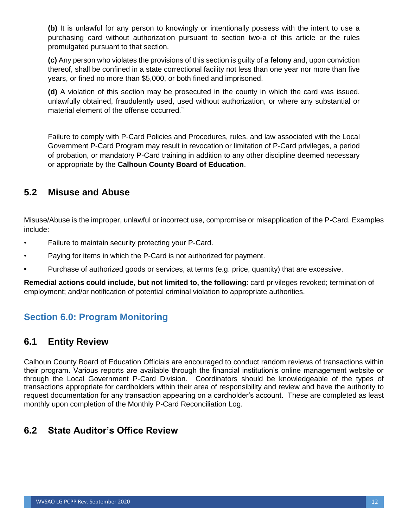**(b)** It is unlawful for any person to knowingly or intentionally possess with the intent to use a purchasing card without authorization pursuant to section two-a of this article or the rules promulgated pursuant to that section.

**(c)** Any person who violates the provisions of this section is guilty of a **felony** and, upon conviction thereof, shall be confined in a state correctional facility not less than one year nor more than five years, or fined no more than \$5,000, or both fined and imprisoned.

**(d)** A violation of this section may be prosecuted in the county in which the card was issued, unlawfully obtained, fraudulently used, used without authorization, or where any substantial or material element of the offense occurred."

Failure to comply with P-Card Policies and Procedures, rules, and law associated with the Local Government P-Card Program may result in revocation or limitation of P-Card privileges, a period of probation, or mandatory P-Card training in addition to any other discipline deemed necessary or appropriate by the **Calhoun County Board of Education**.

## **5.2 Misuse and Abuse**

Misuse/Abuse is the improper, unlawful or incorrect use, compromise or misapplication of the P-Card. Examples include:

- Failure to maintain security protecting your P-Card.
- Paying for items in which the P-Card is not authorized for payment.
- **•** Purchase of authorized goods or services, at terms (e.g. price, quantity) that are excessive.

**Remedial actions could include, but not limited to, the following**: card privileges revoked; termination of employment; and/or notification of potential criminal violation to appropriate authorities.

# **Section 6.0: Program Monitoring**

## <span id="page-14-0"></span>**6.1 Entity Review**

Calhoun County Board of Education Officials are encouraged to conduct random reviews of transactions within their program. Various reports are available through the financial institution's online management website or through the Local Government P-Card Division. Coordinators should be knowledgeable of the types of transactions appropriate for cardholders within their area of responsibility and review and have the authority to request documentation for any transaction appearing on a cardholder's account. These are completed as least monthly upon completion of the Monthly P-Card Reconciliation Log.

# **6.2 State Auditor's Office Review**